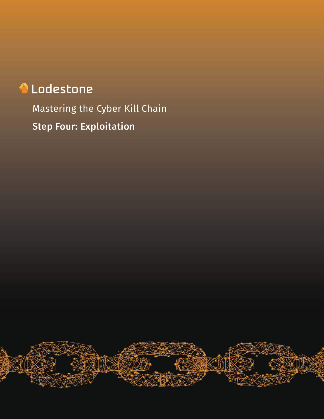# **A** Lodestone

Mastering the Cyber Kill Chain Step Four: Exploitation

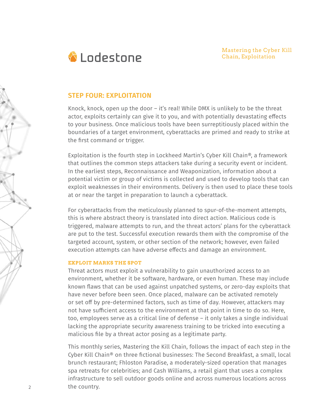

# **STEP FOUR: EXPLOITATION**

Knock, knock, open up the door – it's real! While DMX is unlikely to be the threat actor, exploits certainly can give it to you, and with potentially devastating effects to your business. Once malicious tools have been surreptitiously placed within the boundaries of a target environment, cyberattacks are primed and ready to strike at the first command or trigger.

Exploitation is the fourth step in Lockheed Martin's Cyber Kill Chain®, a framework that outlines the common steps attackers take during a security event or incident. In the earliest steps, Reconnaissance and Weaponization, information about a potential victim or group of victims is collected and used to develop tools that can exploit weaknesses in their environments. Delivery is then used to place these tools at or near the target in preparation to launch a cyberattack.

For cyberattacks from the meticulously planned to spur-of-the-moment attempts, this is where abstract theory is translated into direct action. Malicious code is triggered, malware attempts to run, and the threat actors' plans for the cyberattack are put to the test. Successful execution rewards them with the compromise of the targeted account, system, or other section of the network; however, even failed execution attempts can have adverse effects and damage an environment.

## **EXPLOIT MARKS THE SPOT**

Threat actors must exploit a vulnerability to gain unauthorized access to an environment, whether it be software, hardware, or even human. These may include known flaws that can be used against unpatched systems, or zero-day exploits that have never before been seen. Once placed, malware can be activated remotely or set off by pre-determined factors, such as time of day. However, attackers may not have sufficient access to the environment at that point in time to do so. Here, too, employees serve as a critical line of defense – it only takes a single individual lacking the appropriate security awareness training to be tricked into executing a malicious file by a threat actor posing as a legitimate party.

This monthly series, Mastering the Kill Chain, follows the impact of each step in the Cyber Kill Chain® on three fictional businesses: The Second Breakfast, a small, local brunch restaurant; Fhloston Paradise, a moderately-sized operation that manages spa retreats for celebrities; and Cash Williams, a retail giant that uses a complex infrastructure to sell outdoor goods online and across numerous locations across the country.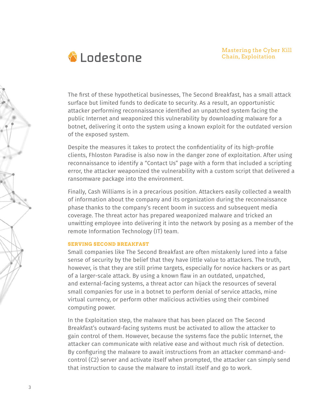

The first of these hypothetical businesses, The Second Breakfast, has a small attack surface but limited funds to dedicate to security. As a result, an opportunistic attacker performing reconnaissance identified an unpatched system facing the public Internet and weaponized this vulnerability by downloading malware for a botnet, delivering it onto the system using a known exploit for the outdated version of the exposed system.

Despite the measures it takes to protect the confidentiality of its high-profile clients, Fhloston Paradise is also now in the danger zone of exploitation. After using reconnaissance to identify a "Contact Us" page with a form that included a scripting error, the attacker weaponized the vulnerability with a custom script that delivered a ransomware package into the environment.

Finally, Cash Williams is in a precarious position. Attackers easily collected a wealth of information about the company and its organization during the reconnaissance phase thanks to the company's recent boom in success and subsequent media coverage. The threat actor has prepared weaponized malware and tricked an unwitting employee into delivering it into the network by posing as a member of the remote Information Technology (IT) team.

#### **SERVING SECOND BREAKFAST**

Small companies like The Second Breakfast are often mistakenly lured into a false sense of security by the belief that they have little value to attackers. The truth, however, is that they are still prime targets, especially for novice hackers or as part of a larger-scale attack. By using a known flaw in an outdated, unpatched, and external-facing systems, a threat actor can hijack the resources of several small companies for use in a botnet to perform denial of service attacks, mine virtual currency, or perform other malicious activities using their combined computing power.

In the Exploitation step, the malware that has been placed on The Second Breakfast's outward-facing systems must be activated to allow the attacker to gain control of them. However, because the systems face the public Internet, the attacker can communicate with relative ease and without much risk of detection. By configuring the malware to await instructions from an attacker command-andcontrol (C2) server and activate itself when prompted, the attacker can simply send that instruction to cause the malware to install itself and go to work.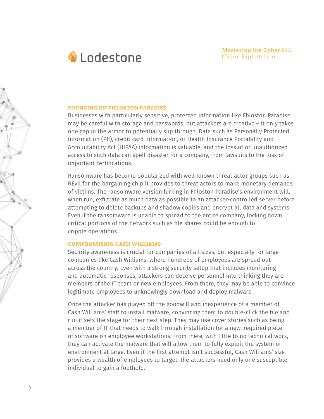

#### **POUNCING ON FHLOSTON PARADISE**

Businesses with particularly sensitive, protected information like Fhloston Paradise may be careful with storage and passwords, but attackers are creative – it only takes one gap in the armor to potentially slip through. Data such as Personally Protected Information (PII), credit card information, or Health Insurance Portability and Accountability Act (HIPAA) information is valuable, and the loss of or unauthorized access to such data can spell disaster for a company, from lawsuits to the loss of important certifications.

Ransomware has become popularized with well-known threat actor groups such as REvil for the bargaining chip it provides to threat actors to make monetary demands of victims. The ransomware version lurking in Fhloston Paradise's environment will, when run, exfiltrate as much data as possible to an attacker-controlled server before attempting to delete backups and shadow copies and encrypt all data and systems. Even if the ransomware is unable to spread to the entire company, locking down critical portions of the network such as file shares could be enough to cripple operations.

#### **COMPROMISING CASH WILLIAMS**

Security awareness is crucial for companies of all sizes, but especially for large companies like Cash Williams, where hundreds of employees are spread out across the country. Even with a strong security setup that includes monitoring and automatic responses, attackers can deceive personnel into thinking they are members of the IT team or new employees. From there, they may be able to convince legitimate employees to unknowingly download and deploy malware.

Once the attacker has played off the goodwill and inexperience of a member of Cash Williams' staff to install malware, convincing them to double-click the file and run it sets the stage for their next step. They may use cover stories such as being a member of IT that needs to walk through installation for a new, required piece of software on employee workstations. From there, with little to no technical work, they can activate the malware that will allow them to fully exploit the system or environment at large. Even if the first attempt isn't successful, Cash Williams' size provides a wealth of employees to target; the attackers need only one susceptible individual to gain a foothold.

4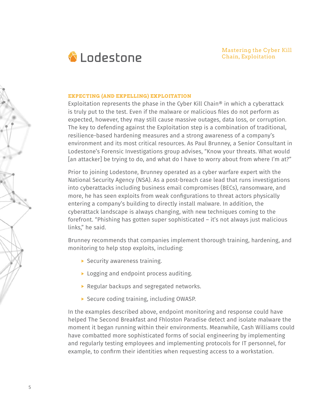

## **EXPECTING (AND EXPELLING) EXPLOITATION**

Exploitation represents the phase in the Cyber Kill Chain<sup>®</sup> in which a cyberattack is truly put to the test. Even if the malware or malicious files do not perform as expected, however, they may still cause massive outages, data loss, or corruption. The key to defending against the Exploitation step is a combination of traditional, resilience-based hardening measures and a strong awareness of a company's environment and its most critical resources. As Paul Brunney, a Senior Consultant in Lodestone's Forensic Investigations group advises, "Know your threats. What would [an attacker] be trying to do, and what do I have to worry about from where I'm at?"

Prior to joining Lodestone, Brunney operated as a cyber warfare expert with the National Security Agency (NSA). As a post-breach case lead that runs investigations into cyberattacks including business email compromises (BECs), ransomware, and more, he has seen exploits from weak configurations to threat actors physically entering a company's building to directly install malware. In addition, the cyberattack landscape is always changing, with new techniques coming to the forefront. "Phishing has gotten super sophisticated – it's not always just malicious links," he said.

Brunney recommends that companies implement thorough training, hardening, and monitoring to help stop exploits, including:

- $\blacktriangleright$  Security awareness training.
- ▶ Logging and endpoint process auditing.
- Regular backups and segregated networks.
- ▶ Secure coding training, including OWASP.

In the examples described above, endpoint monitoring and response could have helped The Second Breakfast and Fhloston Paradise detect and isolate malware the moment it began running within their environments. Meanwhile, Cash Williams could have combatted more sophisticated forms of social engineering by implementing and regularly testing employees and implementing protocols for IT personnel, for example, to confirm their identities when requesting access to a workstation.